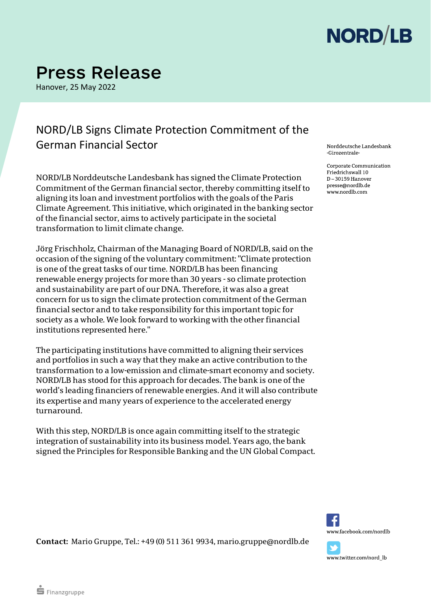

## **Press Release**

Hanover, 25 May 2022

#### NORD/LB Signs Climate Protection Commitment of the German Financial Sector

NORD/LB Norddeutsche Landesbank has signed the Climate Protection Commitment of the German financial sector, thereby committing itself to aligning its loan and investment portfolios with the goals of the Paris Climate Agreement. This initiative, which originated in the banking sector of the financial sector, aims to actively participate in the societal transformation to limit climate change.

Jörg Frischholz, Chairman of the Managing Board of NORD/LB, said on the occasion of the signing of the voluntary commitment: "Climate protection is one of the great tasks of our time. NORD/LB has been financing renewable energy projects for more than 30 years - so climate protection and sustainability are part of our DNA. Therefore, it was also a great concern for us to sign the climate protection commitment of the German financial sector and to take responsibility for this important topic for society as a whole. We look forward to working with the other financial institutions represented here."

The participating institutions have committed to aligning their services and portfolios in such a way that they make an active contribution to the transformation to a low-emission and climate-smart economy and society. NORD/LB has stood for this approach for decades. The bank is one of the world's leading financiers of renewable energies. And it will also contribute its expertise and many years of experience to the accelerated energy turnaround.

With this step, NORD/LB is once again committing itself to the strategic integration of sustainability into its business model. Years ago, the bank signed the Principles for Responsible Banking and the UN Global Compact. Norddeutsche Landesbank Girozentrale

Corporate Communication Friedrichswall 10  $D - 30159$  Hanover presse@nordlb.de www.nordlb.com



www.twitter.com/nord\_lb

**Contact:** Mario Gruppe, Tel.: +49 (0) 511 361 9934, mario.gruppe@nordlb.de